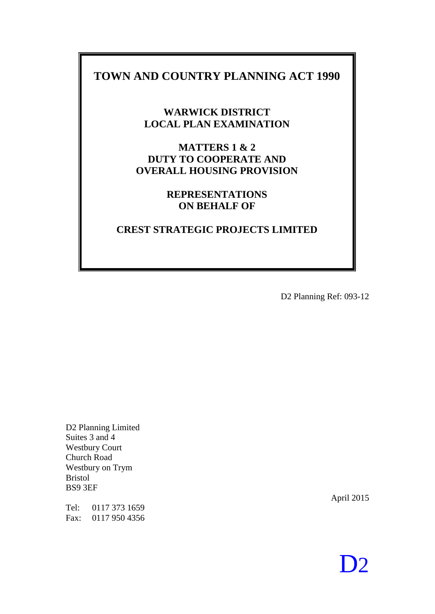### **TOWN AND COUNTRY PLANNING ACT 1990**

**WARWICK DISTRICT LOCAL PLAN EXAMINATION**

**MATTERS 1 & 2 DUTY TO COOPERATE AND OVERALL HOUSING PROVISION**

### **REPRESENTATIONS ON BEHALF OF**

### **CREST STRATEGIC PROJECTS LIMITED**

D2 Planning Ref: 093-12

D2 Planning Limited Suites 3 and 4 Westbury Court Church Road Westbury on Trym Bristol BS9 3EF

Tel: 0117 373 1659 Fax: 0117 950 4356

April 2015

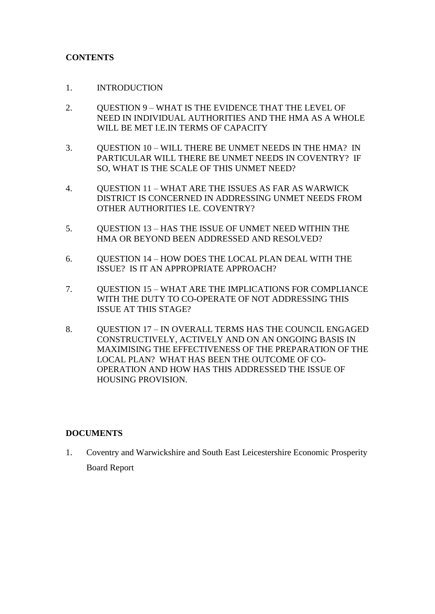#### **CONTENTS**

- 1. INTRODUCTION
- 2. QUESTION 9 WHAT IS THE EVIDENCE THAT THE LEVEL OF NEED IN INDIVIDUAL AUTHORITIES AND THE HMA AS A WHOLE WILL BE MET LE IN TERMS OF CAPACITY
- 3. QUESTION 10 WILL THERE BE UNMET NEEDS IN THE HMA? IN PARTICULAR WILL THERE BE UNMET NEEDS IN COVENTRY? IF SO, WHAT IS THE SCALE OF THIS UNMET NEED?
- 4. QUESTION 11 WHAT ARE THE ISSUES AS FAR AS WARWICK DISTRICT IS CONCERNED IN ADDRESSING UNMET NEEDS FROM OTHER AUTHORITIES I.E. COVENTRY?
- 5. QUESTION 13 HAS THE ISSUE OF UNMET NEED WITHIN THE HMA OR BEYOND BEEN ADDRESSED AND RESOLVED?
- 6. QUESTION 14 HOW DOES THE LOCAL PLAN DEAL WITH THE ISSUE? IS IT AN APPROPRIATE APPROACH?
- 7. QUESTION 15 WHAT ARE THE IMPLICATIONS FOR COMPLIANCE WITH THE DUTY TO CO-OPERATE OF NOT ADDRESSING THIS ISSUE AT THIS STAGE?
- 8. QUESTION 17 IN OVERALL TERMS HAS THE COUNCIL ENGAGED CONSTRUCTIVELY, ACTIVELY AND ON AN ONGOING BASIS IN MAXIMISING THE EFFECTIVENESS OF THE PREPARATION OF THE LOCAL PLAN? WHAT HAS BEEN THE OUTCOME OF CO-OPERATION AND HOW HAS THIS ADDRESSED THE ISSUE OF HOUSING PROVISION.

#### **DOCUMENTS**

1. Coventry and Warwickshire and South East Leicestershire Economic Prosperity Board Report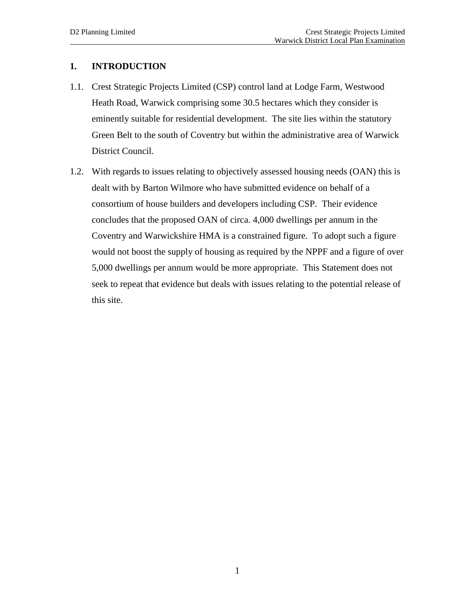#### **1. INTRODUCTION**

- 1.1. Crest Strategic Projects Limited (CSP) control land at Lodge Farm, Westwood Heath Road, Warwick comprising some 30.5 hectares which they consider is eminently suitable for residential development. The site lies within the statutory Green Belt to the south of Coventry but within the administrative area of Warwick District Council.
- 1.2. With regards to issues relating to objectively assessed housing needs (OAN) this is dealt with by Barton Wilmore who have submitted evidence on behalf of a consortium of house builders and developers including CSP. Their evidence concludes that the proposed OAN of circa. 4,000 dwellings per annum in the Coventry and Warwickshire HMA is a constrained figure. To adopt such a figure would not boost the supply of housing as required by the NPPF and a figure of over 5,000 dwellings per annum would be more appropriate. This Statement does not seek to repeat that evidence but deals with issues relating to the potential release of this site.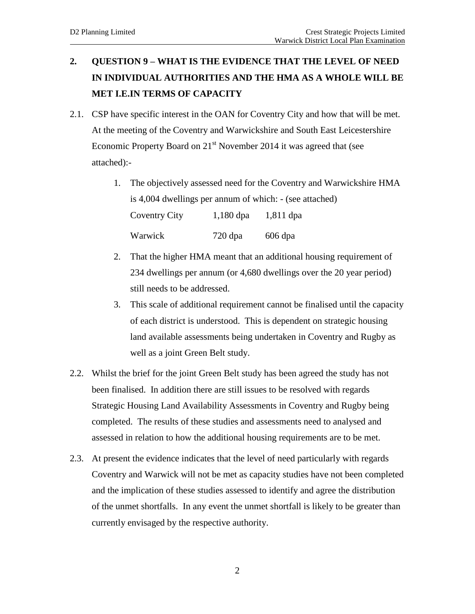## **2. QUESTION 9 – WHAT IS THE EVIDENCE THAT THE LEVEL OF NEED IN INDIVIDUAL AUTHORITIES AND THE HMA AS A WHOLE WILL BE MET I.E.IN TERMS OF CAPACITY**

- 2.1. CSP have specific interest in the OAN for Coventry City and how that will be met. At the meeting of the Coventry and Warwickshire and South East Leicestershire Economic Property Board on  $21<sup>st</sup>$  November 2014 it was agreed that (see attached):-
	- 1. The objectively assessed need for the Coventry and Warwickshire HMA is 4,004 dwellings per annum of which: - (see attached) Coventry City 1,180 dpa 1,811 dpa Warwick 720 dpa 606 dpa
	- 2. That the higher HMA meant that an additional housing requirement of 234 dwellings per annum (or 4,680 dwellings over the 20 year period) still needs to be addressed.
	- 3. This scale of additional requirement cannot be finalised until the capacity of each district is understood. This is dependent on strategic housing land available assessments being undertaken in Coventry and Rugby as well as a joint Green Belt study.
- 2.2. Whilst the brief for the joint Green Belt study has been agreed the study has not been finalised. In addition there are still issues to be resolved with regards Strategic Housing Land Availability Assessments in Coventry and Rugby being completed. The results of these studies and assessments need to analysed and assessed in relation to how the additional housing requirements are to be met.
- 2.3. At present the evidence indicates that the level of need particularly with regards Coventry and Warwick will not be met as capacity studies have not been completed and the implication of these studies assessed to identify and agree the distribution of the unmet shortfalls. In any event the unmet shortfall is likely to be greater than currently envisaged by the respective authority.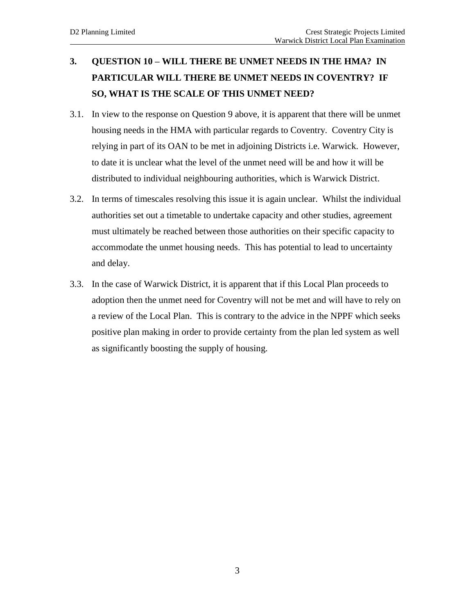## **3. QUESTION 10 – WILL THERE BE UNMET NEEDS IN THE HMA? IN PARTICULAR WILL THERE BE UNMET NEEDS IN COVENTRY? IF SO, WHAT IS THE SCALE OF THIS UNMET NEED?**

- 3.1. In view to the response on Question 9 above, it is apparent that there will be unmet housing needs in the HMA with particular regards to Coventry. Coventry City is relying in part of its OAN to be met in adjoining Districts i.e. Warwick. However, to date it is unclear what the level of the unmet need will be and how it will be distributed to individual neighbouring authorities, which is Warwick District.
- 3.2. In terms of timescales resolving this issue it is again unclear. Whilst the individual authorities set out a timetable to undertake capacity and other studies, agreement must ultimately be reached between those authorities on their specific capacity to accommodate the unmet housing needs. This has potential to lead to uncertainty and delay.
- 3.3. In the case of Warwick District, it is apparent that if this Local Plan proceeds to adoption then the unmet need for Coventry will not be met and will have to rely on a review of the Local Plan. This is contrary to the advice in the NPPF which seeks positive plan making in order to provide certainty from the plan led system as well as significantly boosting the supply of housing.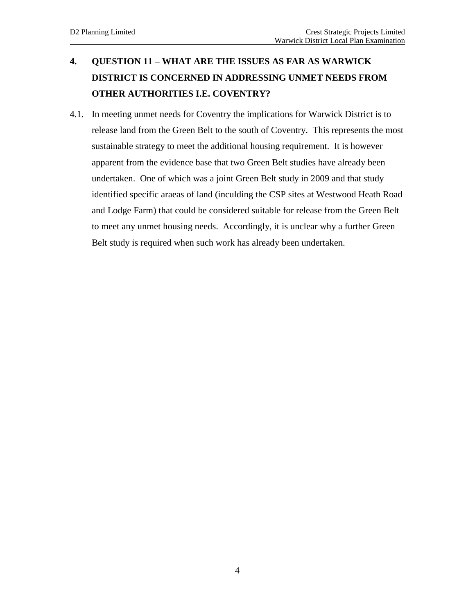## **4. QUESTION 11 – WHAT ARE THE ISSUES AS FAR AS WARWICK DISTRICT IS CONCERNED IN ADDRESSING UNMET NEEDS FROM OTHER AUTHORITIES I.E. COVENTRY?**

4.1. In meeting unmet needs for Coventry the implications for Warwick District is to release land from the Green Belt to the south of Coventry. This represents the most sustainable strategy to meet the additional housing requirement. It is however apparent from the evidence base that two Green Belt studies have already been undertaken. One of which was a joint Green Belt study in 2009 and that study identified specific araeas of land (inculding the CSP sites at Westwood Heath Road and Lodge Farm) that could be considered suitable for release from the Green Belt to meet any unmet housing needs. Accordingly, it is unclear why a further Green Belt study is required when such work has already been undertaken.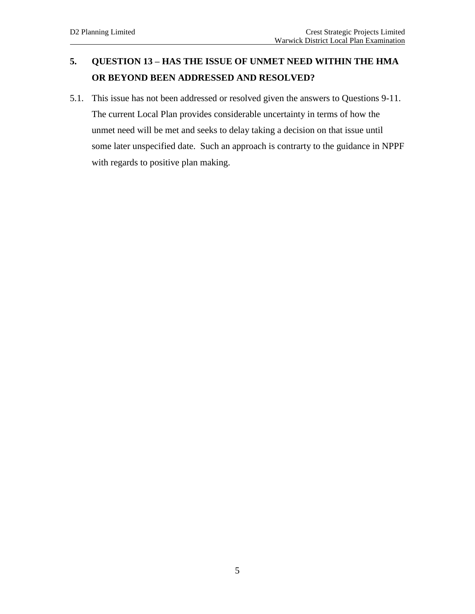### **5. QUESTION 13 – HAS THE ISSUE OF UNMET NEED WITHIN THE HMA OR BEYOND BEEN ADDRESSED AND RESOLVED?**

5.1. This issue has not been addressed or resolved given the answers to Questions 9-11. The current Local Plan provides considerable uncertainty in terms of how the unmet need will be met and seeks to delay taking a decision on that issue until some later unspecified date. Such an approach is contrarty to the guidance in NPPF with regards to positive plan making.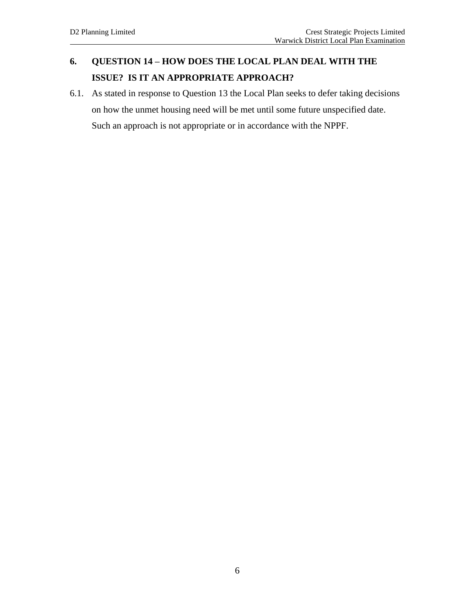### **6. QUESTION 14 – HOW DOES THE LOCAL PLAN DEAL WITH THE ISSUE? IS IT AN APPROPRIATE APPROACH?**

6.1. As stated in response to Question 13 the Local Plan seeks to defer taking decisions on how the unmet housing need will be met until some future unspecified date. Such an approach is not appropriate or in accordance with the NPPF.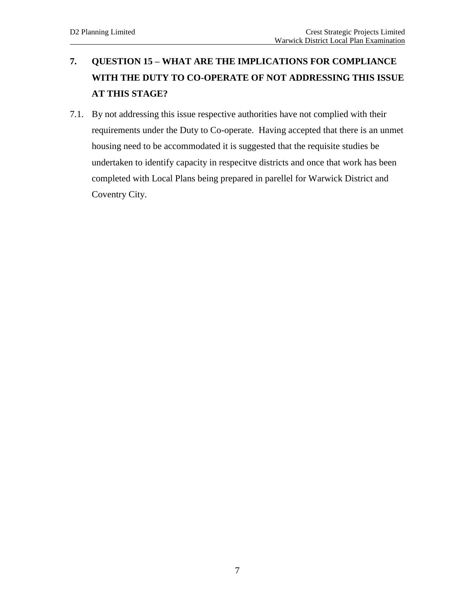## **7. QUESTION 15 – WHAT ARE THE IMPLICATIONS FOR COMPLIANCE WITH THE DUTY TO CO-OPERATE OF NOT ADDRESSING THIS ISSUE AT THIS STAGE?**

7.1. By not addressing this issue respective authorities have not complied with their requirements under the Duty to Co-operate. Having accepted that there is an unmet housing need to be accommodated it is suggested that the requisite studies be undertaken to identify capacity in respecitve districts and once that work has been completed with Local Plans being prepared in parellel for Warwick District and Coventry City.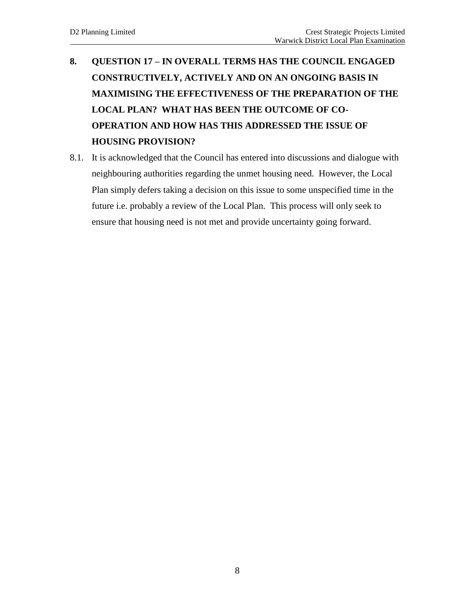# **8. QUESTION 17 – IN OVERALL TERMS HAS THE COUNCIL ENGAGED CONSTRUCTIVELY, ACTIVELY AND ON AN ONGOING BASIS IN MAXIMISING THE EFFECTIVENESS OF THE PREPARATION OF THE LOCAL PLAN? WHAT HAS BEEN THE OUTCOME OF CO-OPERATION AND HOW HAS THIS ADDRESSED THE ISSUE OF HOUSING PROVISION?**

8.1. It is acknowledged that the Council has entered into discussions and dialogue with neighbouring authorities regarding the unmet housing need. However, the Local Plan simply defers taking a decision on this issue to some unspecified time in the future i.e. probably a review of the Local Plan. This process will only seek to ensure that housing need is not met and provide uncertainty going forward.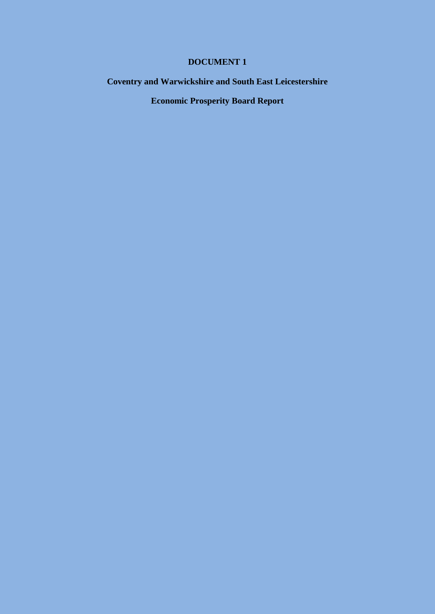### **DOCUMENT 1**

### **Coventry and Warwickshire and South East Leicestershire**

**Economic Prosperity Board Report**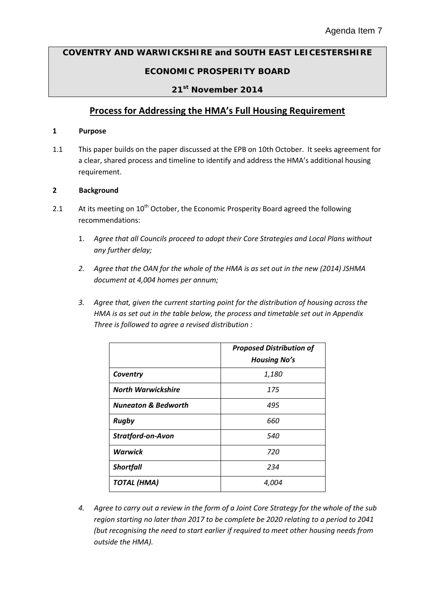# **COVENTRY AND WARWICKSHIRE and SOUTH EAST LEICESTERSHIRE**

### **ECONOMIC PROSPERITY BOARD**

#### **21st November 2014**

### **Process for Addressing the HMA's Full Housing Requirement**

#### **1 Purpose**

1.1 This paper builds on the paper discussed at the EPB on 10th October. It seeks agreement for a clear, shared process and timeline to identify and address the HMA's additional housing requirement.

#### **2 Background**

- 2.1 At its meeting on 10<sup>th</sup> October, the Economic Prosperity Board agreed the following recommendations:
	- 1. *Agree that all Councils proceed to adopt their Core Strategies and Local Plans without any further delay;*
	- *2. Agree that the OAN for the whole of the HMA is as set out in the new (2014) JSHMA document at 4,004 homes per annum;*
	- *3. Agree that, given the current starting point for the distribution of housing across the HMA is as set out in the table below, the process and timetable set out in Appendix Three is followed to agree a revised distribution :*

|                                | <b>Proposed Distribution of</b><br><b>Housing No's</b> |
|--------------------------------|--------------------------------------------------------|
| Coventry                       | 1,180                                                  |
| <b>North Warwickshire</b>      | 175                                                    |
| <b>Nuneaton &amp; Bedworth</b> | 495                                                    |
| <b>Rugby</b>                   | 660                                                    |
| <b>Stratford-on-Avon</b>       | 540                                                    |
| <b>Warwick</b>                 | 720                                                    |
| <b>Shortfall</b>               | 234                                                    |
| <b>TOTAL (HMA)</b>             | 4,004                                                  |

*4. Agree to carry out a review in the form of a Joint Core Strategy for the whole of the sub region starting no later than 2017 to be complete be 2020 relating to a period to 2041 (but recognising the need to start earlier if required to meet other housing needs from outside the HMA).*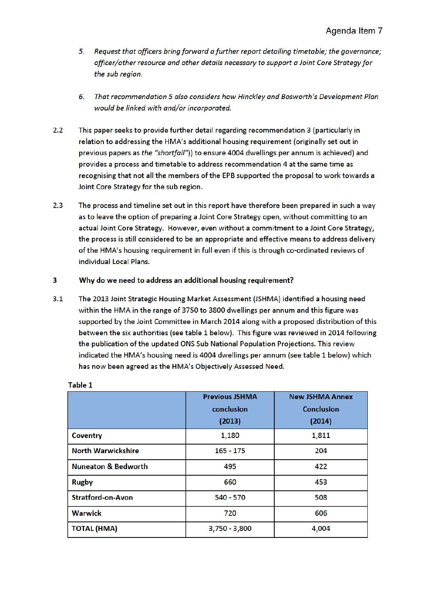- 5. Request that officers bring forward a further report detailing timetable; the governance; officer/other resource and other details necessary to support a Joint Core Strategy for the sub region.
- That recommendation 5 also considers how Hinckley and Bosworth's Development Plan 6. would be linked with and/or incorporated.
- $2.2$ This paper seeks to provide further detail regarding recommendation 3 (particularly in relation to addressing the HMA's additional housing requirement (originally set out in previous papers as the "shortfall")) to ensure 4004 dwellings per annum is achieved) and provides a process and timetable to address recommendation 4 at the same time as recognising that not all the members of the EPB supported the proposal to work towards a Joint Core Strategy for the sub region.
- $2.3$ The process and timeline set out in this report have therefore been prepared in such a way as to leave the option of preparing a Joint Core Strategy open, without committing to an actual Joint Core Strategy. However, even without a commitment to a Joint Core Strategy. the process is still considered to be an appropriate and effective means to address delivery of the HMA's housing requirement in full even if this is through co-ordinated reviews of individual Local Plans.

#### 3 Why do we need to address an additional housing requirement?

 $3.1$ The 2013 Joint Strategic Housing Market Assessment (JSHMA) identified a housing need within the HMA in the range of 3750 to 3800 dwellings per annum and this figure was supported by the Joint Committee in March 2014 along with a proposed distribution of this between the six authorities (see table 1 below). This figure was reviewed in 2014 following the publication of the updated ONS Sub National Population Projections. This review indicated the HMA's housing need is 4004 dwellings per annum (see table 1 below) which has now been agreed as the HMA's Objectively Assessed Need.

|                                | <b>Previous JSHMA</b> | <b>New JSHMA Annex</b> |
|--------------------------------|-----------------------|------------------------|
|                                | conclusion            | <b>Conclusion</b>      |
|                                | (2013)                | (2014)                 |
| <b>Coventry</b>                | 1,180                 | 1,811                  |
| <b>North Warwickshire</b>      | $165 - 175$           | 204                    |
| <b>Nuneaton &amp; Bedworth</b> | 495                   | 422                    |
| <b>Rugby</b>                   | 660                   | 453                    |
| <b>Stratford-on-Avon</b>       | 540 - 570             | 508                    |
| <b>Warwick</b>                 | 720                   | 606                    |
| <b>TOTAL (HMA)</b>             | $3,750 - 3,800$       | 4,004                  |

#### Table 1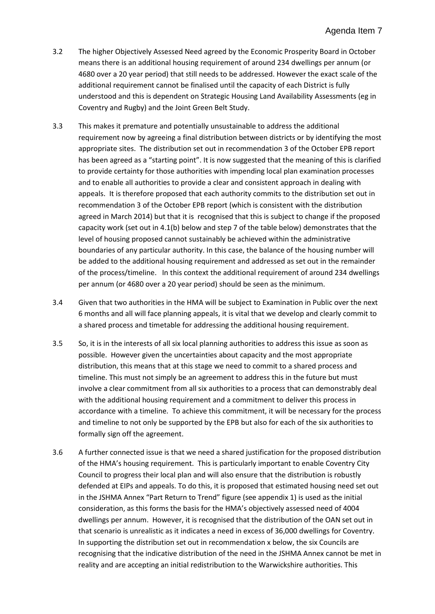- 3.2 The higher Objectively Assessed Need agreed by the Economic Prosperity Board in October means there is an additional housing requirement of around 234 dwellings per annum (or 4680 over a 20 year period) that still needs to be addressed. However the exact scale of the additional requirement cannot be finalised until the capacity of each District is fully understood and this is dependent on Strategic Housing Land Availability Assessments (eg in Coventry and Rugby) and the Joint Green Belt Study.
- 3.3 This makes it premature and potentially unsustainable to address the additional requirement now by agreeing a final distribution between districts or by identifying the most appropriate sites. The distribution set out in recommendation 3 of the October EPB report has been agreed as a "starting point". It is now suggested that the meaning of this is clarified to provide certainty for those authorities with impending local plan examination processes and to enable all authorities to provide a clear and consistent approach in dealing with appeals. It is therefore proposed that each authority commits to the distribution set out in recommendation 3 of the October EPB report (which is consistent with the distribution agreed in March 2014) but that it is recognised that this is subject to change if the proposed capacity work (set out in 4.1(b) below and step 7 of the table below) demonstrates that the level of housing proposed cannot sustainably be achieved within the administrative boundaries of any particular authority. In this case, the balance of the housing number will be added to the additional housing requirement and addressed as set out in the remainder of the process/timeline. In this context the additional requirement of around 234 dwellings per annum (or 4680 over a 20 year period) should be seen as the minimum.
- 3.4 Given that two authorities in the HMA will be subject to Examination in Public over the next 6 months and all will face planning appeals, it is vital that we develop and clearly commit to a shared process and timetable for addressing the additional housing requirement.
- 3.5 So, it is in the interests of all six local planning authorities to address this issue as soon as possible. However given the uncertainties about capacity and the most appropriate distribution, this means that at this stage we need to commit to a shared process and timeline. This must not simply be an agreement to address this in the future but must involve a clear commitment from all six authorities to a process that can demonstrably deal with the additional housing requirement and a commitment to deliver this process in accordance with a timeline. To achieve this commitment, it will be necessary for the process and timeline to not only be supported by the EPB but also for each of the six authorities to formally sign off the agreement.
- 3.6 A further connected issue is that we need a shared justification for the proposed distribution of the HMA's housing requirement. This is particularly important to enable Coventry City Council to progress their local plan and will also ensure that the distribution is robustly defended at EIPs and appeals. To do this, it is proposed that estimated housing need set out in the JSHMA Annex "Part Return to Trend" figure (see appendix 1) is used as the initial consideration, as this forms the basis for the HMA's objectively assessed need of 4004 dwellings per annum. However, it is recognised that the distribution of the OAN set out in that scenario is unrealistic as it indicates a need in excess of 36,000 dwellings for Coventry. In supporting the distribution set out in recommendation x below, the six Councils are recognising that the indicative distribution of the need in the JSHMA Annex cannot be met in reality and are accepting an initial redistribution to the Warwickshire authorities. This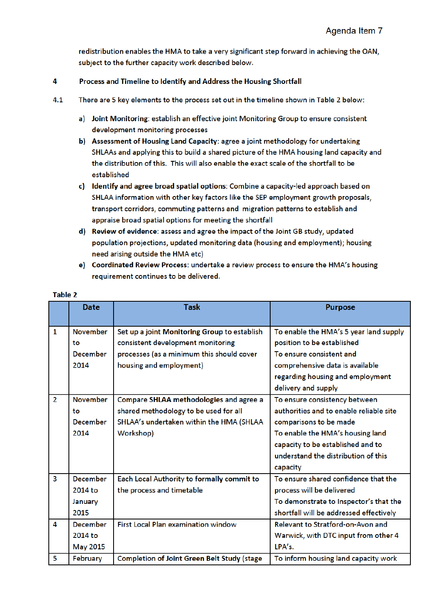redistribution enables the HMA to take a very significant step forward in achieving the OAN, subject to the further capacity work described below.

#### $\overline{4}$ Process and Timeline to Identify and Address the Housing Shortfall

- $4.1$ There are 5 key elements to the process set out in the timeline shown in Table 2 below:
	- a) Joint Monitoring: establish an effective joint Monitoring Group to ensure consistent development monitoring processes
	- b) Assessment of Housing Land Capacity: agree a joint methodology for undertaking SHLAAs and applying this to build a shared picture of the HMA housing land capacity and the distribution of this. This will also enable the exact scale of the shortfall to be established
	- c) Identify and agree broad spatial options: Combine a capacity-led approach based on SHLAA information with other key factors like the SEP employment growth proposals, transport corridors, commuting patterns and migration patterns to establish and appraise broad spatial options for meeting the shortfall
	- d) Review of evidence: assess and agree the impact of the Joint GB study, updated population projections, updated monitoring data (housing and employment); housing need arising outside the HMA etc)
	- e) Coordinated Review Process: undertake a review process to ensure the HMA's housing requirement continues to be delivered.

|                | <b>Date</b>     | <b>Task</b>                                        | <b>Purpose</b>                          |
|----------------|-----------------|----------------------------------------------------|-----------------------------------------|
|                |                 |                                                    |                                         |
| $\mathbf{1}$   | <b>November</b> | Set up a joint Monitoring Group to establish       | To enable the HMA's 5 year land supply  |
|                | to              | consistent development monitoring                  | position to be established              |
|                | <b>December</b> | processes (as a minimum this should cover          | To ensure consistent and                |
|                | 2014            | housing and employment)                            | comprehensive data is available         |
|                |                 |                                                    | regarding housing and employment        |
|                |                 |                                                    | delivery and supply                     |
| $\overline{2}$ | <b>November</b> | Compare SHLAA methodologies and agree a            | To ensure consistency between           |
|                | to              | shared methodology to be used for all              | authorities and to enable reliable site |
|                | <b>December</b> | SHLAA's undertaken within the HMA (SHLAA           | comparisons to be made                  |
|                | 2014            | Workshop)                                          | To enable the HMA's housing land        |
|                |                 |                                                    | capacity to be established and to       |
|                |                 |                                                    | understand the distribution of this     |
|                |                 |                                                    | capacity                                |
| 3              | <b>December</b> | Each Local Authority to formally commit to         | To ensure shared confidence that the    |
|                | 2014 to         | the process and timetable                          | process will be delivered               |
|                | January         |                                                    | To demonstrate to Inspector's that the  |
|                | 2015            |                                                    | shortfall will be addressed effectively |
| 4              | <b>December</b> | <b>First Local Plan examination window</b>         | Relevant to Stratford-on-Avon and       |
|                | 2014 to         |                                                    | Warwick, with DTC input from other 4    |
|                | <b>May 2015</b> |                                                    | LPA's.                                  |
| 5              | February        | <b>Completion of Joint Green Belt Study (stage</b> | To inform housing land capacity work    |

#### Table 2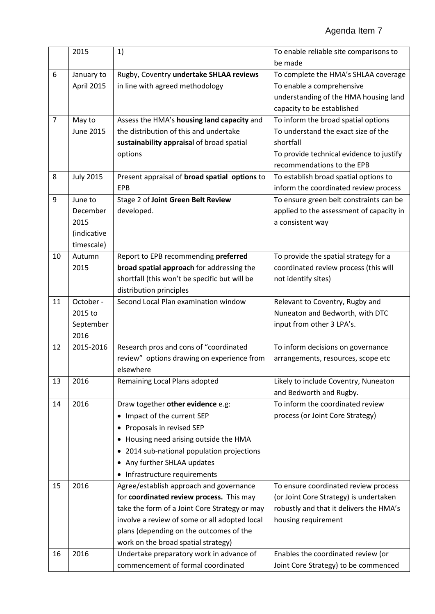|                | 2015             | 1)                                            | To enable reliable site comparisons to   |
|----------------|------------------|-----------------------------------------------|------------------------------------------|
|                |                  |                                               | be made                                  |
| 6              | January to       | Rugby, Coventry undertake SHLAA reviews       | To complete the HMA's SHLAA coverage     |
|                | April 2015       | in line with agreed methodology               | To enable a comprehensive                |
|                |                  |                                               | understanding of the HMA housing land    |
|                |                  |                                               | capacity to be established               |
| $\overline{7}$ | May to           | Assess the HMA's housing land capacity and    | To inform the broad spatial options      |
|                | <b>June 2015</b> | the distribution of this and undertake        | To understand the exact size of the      |
|                |                  | sustainability appraisal of broad spatial     | shortfall                                |
|                |                  | options                                       | To provide technical evidence to justify |
|                |                  |                                               | recommendations to the EPB               |
| 8              | <b>July 2015</b> | Present appraisal of broad spatial options to | To establish broad spatial options to    |
|                |                  | EPB                                           | inform the coordinated review process    |
| 9              | June to          | Stage 2 of Joint Green Belt Review            | To ensure green belt constraints can be  |
|                | December         | developed.                                    | applied to the assessment of capacity in |
|                | 2015             |                                               | a consistent way                         |
|                | (indicative      |                                               |                                          |
|                | timescale)       |                                               |                                          |
| 10             | Autumn           | Report to EPB recommending preferred          | To provide the spatial strategy for a    |
|                | 2015             | broad spatial approach for addressing the     | coordinated review process (this will    |
|                |                  | shortfall (this won't be specific but will be | not identify sites)                      |
|                |                  | distribution principles                       |                                          |
| 11             | October -        | Second Local Plan examination window          | Relevant to Coventry, Rugby and          |
|                | 2015 to          |                                               | Nuneaton and Bedworth, with DTC          |
|                | September        |                                               | input from other 3 LPA's.                |
|                | 2016             |                                               |                                          |
| 12             | 2015-2016        | Research pros and cons of "coordinated        | To inform decisions on governance        |
|                |                  | review" options drawing on experience from    | arrangements, resources, scope etc       |
|                |                  | elsewhere                                     |                                          |
| 13             | 2016             | Remaining Local Plans adopted                 | Likely to include Coventry, Nuneaton     |
|                |                  |                                               | and Bedworth and Rugby.                  |
| 14             | 2016             | Draw together other evidence e.g:             | To inform the coordinated review         |
|                |                  | Impact of the current SEP                     | process (or Joint Core Strategy)         |
|                |                  | Proposals in revised SEP                      |                                          |
|                |                  | Housing need arising outside the HMA          |                                          |
|                |                  | 2014 sub-national population projections      |                                          |
|                |                  | • Any further SHLAA updates                   |                                          |
|                |                  | • Infrastructure requirements                 |                                          |
| 15             | 2016             | Agree/establish approach and governance       | To ensure coordinated review process     |
|                |                  | for coordinated review process. This may      | (or Joint Core Strategy) is undertaken   |
|                |                  | take the form of a Joint Core Strategy or may | robustly and that it delivers the HMA's  |
|                |                  | involve a review of some or all adopted local | housing requirement                      |
|                |                  | plans (depending on the outcomes of the       |                                          |
|                |                  | work on the broad spatial strategy)           |                                          |
| 16             | 2016             | Undertake preparatory work in advance of      | Enables the coordinated review (or       |
|                |                  | commencement of formal coordinated            | Joint Core Strategy) to be commenced     |